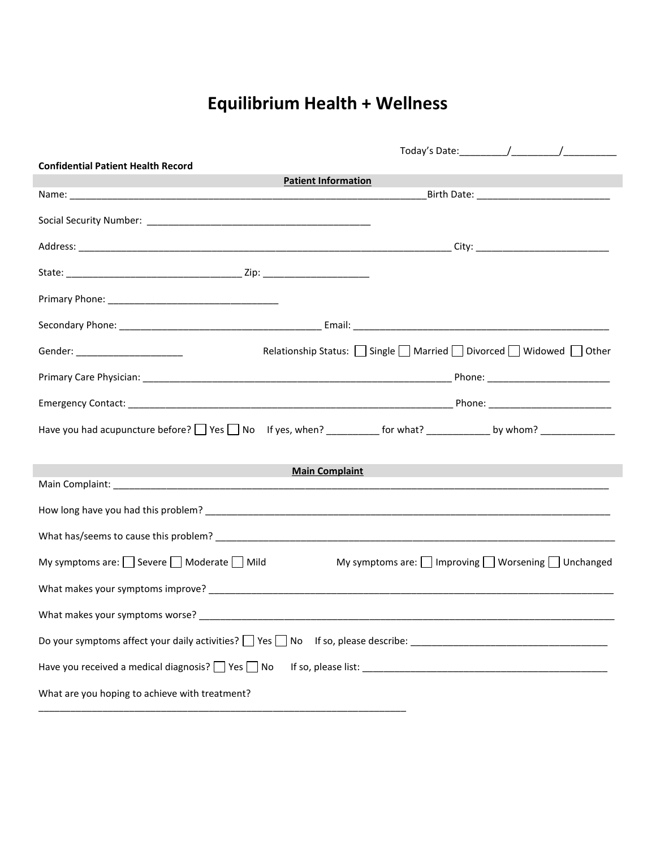## **Equilibrium Health + Wellness**

| <b>Confidential Patient Health Record</b>                   |                                                                     |
|-------------------------------------------------------------|---------------------------------------------------------------------|
|                                                             | <b>Patient Information</b>                                          |
|                                                             |                                                                     |
|                                                             |                                                                     |
|                                                             |                                                                     |
|                                                             |                                                                     |
|                                                             |                                                                     |
|                                                             |                                                                     |
| Gender: ______________________                              | Relationship Status: Single Married Divorced Widowed Other          |
|                                                             |                                                                     |
|                                                             |                                                                     |
|                                                             |                                                                     |
| <u> 1989 - Johann Barnett, fransk politiker (</u>           | <b>Main Complaint</b>                                               |
|                                                             |                                                                     |
|                                                             |                                                                     |
|                                                             |                                                                     |
| My symptoms are: $\Box$ Severe $\Box$ Moderate $\Box$ Mild  | My symptoms are: $\Box$ Improving $\Box$ Worsening $\Box$ Unchanged |
|                                                             |                                                                     |
|                                                             |                                                                     |
|                                                             |                                                                     |
| Have you received a medical diagnosis? $\Box$ Yes $\Box$ No |                                                                     |
| What are you hoping to achieve with treatment?              |                                                                     |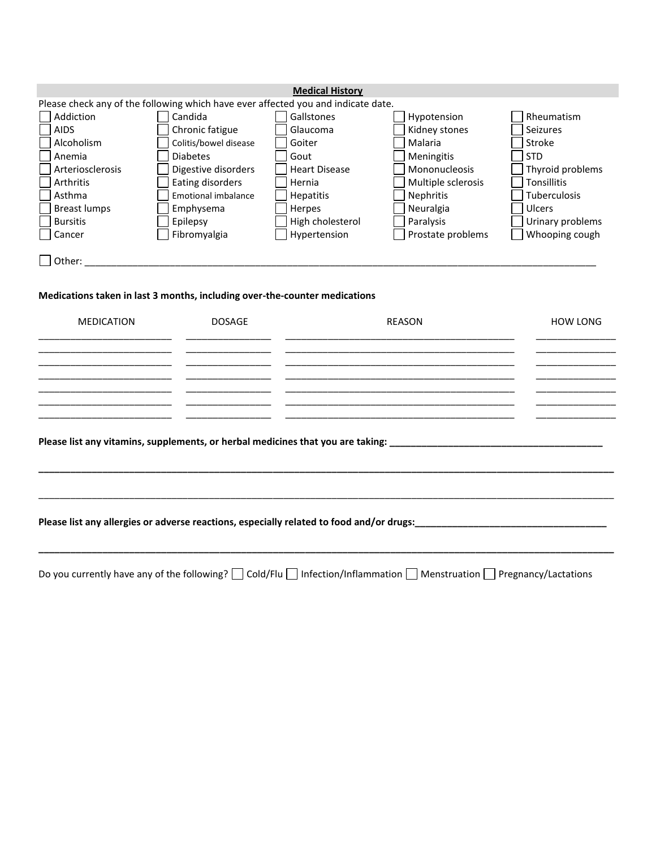| <b>Medical History</b>                                                            |                                                                            |                      |                    |                     |  |  |  |
|-----------------------------------------------------------------------------------|----------------------------------------------------------------------------|----------------------|--------------------|---------------------|--|--|--|
| Please check any of the following which have ever affected you and indicate date. |                                                                            |                      |                    |                     |  |  |  |
| Addiction                                                                         | Candida                                                                    | Gallstones           | Hypotension        | Rheumatism          |  |  |  |
| l AIDS                                                                            | Chronic fatigue                                                            | Glaucoma             | Kidney stones      | Seizures            |  |  |  |
| Alcoholism                                                                        | Colitis/bowel disease                                                      | Goiter               | Malaria            | Stroke              |  |  |  |
| Anemia                                                                            | <b>Diabetes</b>                                                            | Gout                 | <b>Meningitis</b>  | <b>STD</b>          |  |  |  |
| Arteriosclerosis                                                                  | Digestive disorders                                                        | <b>Heart Disease</b> | Mononucleosis      | Thyroid problems    |  |  |  |
| Arthritis                                                                         | Eating disorders                                                           | Hernia               | Multiple sclerosis | <b>Tonsillitis</b>  |  |  |  |
| Asthma                                                                            | <b>Emotional imbalance</b>                                                 | Hepatitis            | <b>Nephritis</b>   | <b>Tuberculosis</b> |  |  |  |
| <b>Breast lumps</b>                                                               | Emphysema                                                                  | Herpes               | Neuralgia          | <b>Ulcers</b>       |  |  |  |
| Bursitis                                                                          | Epilepsy                                                                   | High cholesterol     | Paralysis          | Urinary problems    |  |  |  |
| Cancer                                                                            | Fibromyalgia                                                               | Hypertension         | Prostate problems  | Whooping cough      |  |  |  |
| $\Box$ Other:                                                                     |                                                                            |                      |                    |                     |  |  |  |
|                                                                                   | Medications taken in last 3 months, including over-the-counter medications |                      |                    |                     |  |  |  |

## MEDICATION DOSAGE DOSAGE REASON REASON HOW LONG

|  | Please list any allergies or adverse reactions, especially related to food and/or drugs:<br>Universe list any allergies or adverse reactions, especially related to food and/or drugs:  Universe list any allergies or adverse r |  |
|--|----------------------------------------------------------------------------------------------------------------------------------------------------------------------------------------------------------------------------------|--|
|  |                                                                                                                                                                                                                                  |  |
|  |                                                                                                                                                                                                                                  |  |

Do you currently have any of the following?  $\Box$  Cold/Flu  $\Box$  Infection/Inflammation  $\Box$  Menstruation  $\Box$  Pregnancy/Lactations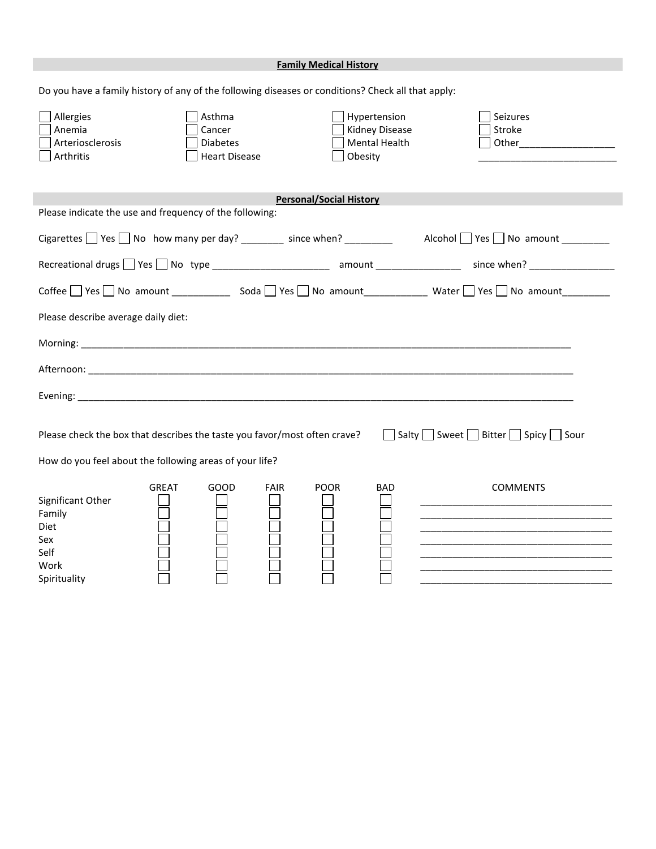|                                                                                                                             | <b>Family Medical History</b>                              |                                                                                                                                     |  |  |  |  |
|-----------------------------------------------------------------------------------------------------------------------------|------------------------------------------------------------|-------------------------------------------------------------------------------------------------------------------------------------|--|--|--|--|
| Do you have a family history of any of the following diseases or conditions? Check all that apply:                          |                                                            |                                                                                                                                     |  |  |  |  |
| Allergies<br>Asthma<br>Anemia<br>Cancer<br>Arteriosclerosis<br><b>Diabetes</b><br>Arthritis<br><b>Heart Disease</b>         | Hypertension<br>Kidney Disease<br>Mental Health<br>Obesity | Seizures<br>Stroke<br>Other and the contract of the contract of the contract of the contract of the contract of the contract of the |  |  |  |  |
| Please indicate the use and frequency of the following:                                                                     | <b>Personal/Social History</b>                             |                                                                                                                                     |  |  |  |  |
|                                                                                                                             |                                                            |                                                                                                                                     |  |  |  |  |
| Cigarettes $\Box$ Yes $\Box$ No how many per day? _______ since when? ________ Alcohol $\Box$ Yes $\Box$ No amount ________ |                                                            |                                                                                                                                     |  |  |  |  |
| Recreational drugs T Yes T No type ________________________ amount _______________ since when? _______________              |                                                            |                                                                                                                                     |  |  |  |  |
|                                                                                                                             |                                                            |                                                                                                                                     |  |  |  |  |
| Please describe average daily diet:                                                                                         |                                                            |                                                                                                                                     |  |  |  |  |
|                                                                                                                             |                                                            |                                                                                                                                     |  |  |  |  |
|                                                                                                                             |                                                            |                                                                                                                                     |  |  |  |  |
|                                                                                                                             |                                                            |                                                                                                                                     |  |  |  |  |
|                                                                                                                             |                                                            |                                                                                                                                     |  |  |  |  |
| Please check the box that describes the taste you favor/most often crave?                                                   |                                                            | □ Salty □ Sweet □ Bitter □ Spicy □ Sour                                                                                             |  |  |  |  |
| How do you feel about the following areas of your life?                                                                     |                                                            |                                                                                                                                     |  |  |  |  |
| <b>GREAT</b><br>GOOD<br><b>FAIR</b><br>Significant Other<br>Family<br>Diet<br>Sex<br>Self<br>Work<br>Spirituality           | <b>POOR</b><br><b>BAD</b>                                  | <b>COMMENTS</b>                                                                                                                     |  |  |  |  |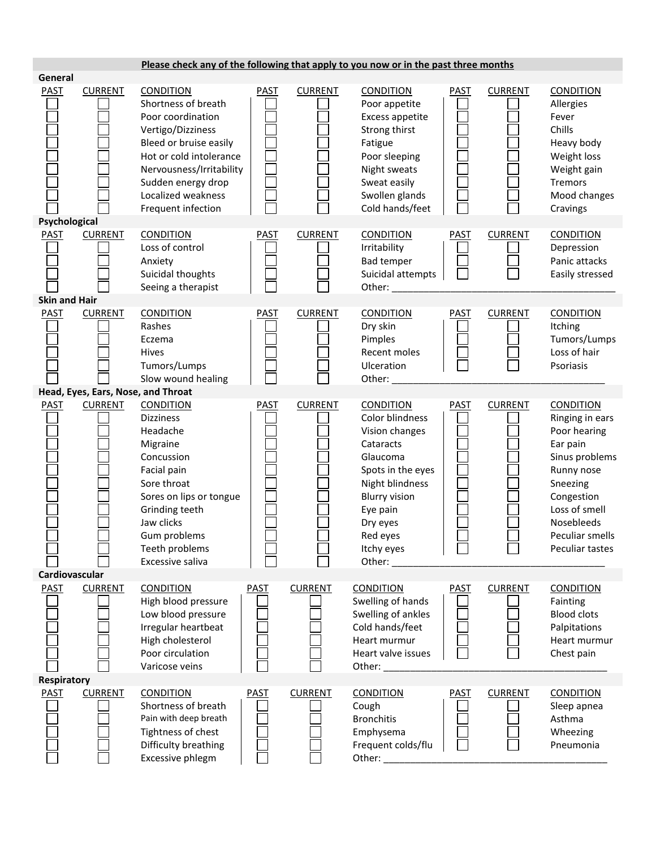|                                     |                | Please check any of the following that apply to you now or in the past three months                                                                                                                                                                             |             |                |                                                                                                                                                                                                            |             |                |                                                                                                                                                                                                |
|-------------------------------------|----------------|-----------------------------------------------------------------------------------------------------------------------------------------------------------------------------------------------------------------------------------------------------------------|-------------|----------------|------------------------------------------------------------------------------------------------------------------------------------------------------------------------------------------------------------|-------------|----------------|------------------------------------------------------------------------------------------------------------------------------------------------------------------------------------------------|
| General<br><b>PAST</b>              | <b>CURRENT</b> | <b>CONDITION</b><br>Shortness of breath<br>Poor coordination<br>Vertigo/Dizziness<br>Bleed or bruise easily<br>Hot or cold intolerance<br>Nervousness/Irritability<br>Sudden energy drop<br>Localized weakness<br>Frequent infection                            | <b>PAST</b> | <b>CURRENT</b> | <b>CONDITION</b><br>Poor appetite<br>Excess appetite<br>Strong thirst<br>Fatigue<br>Poor sleeping<br>Night sweats<br>Sweat easily<br>Swollen glands<br>Cold hands/feet                                     | <b>PAST</b> | <b>CURRENT</b> | <b>CONDITION</b><br>Allergies<br>Fever<br>Chills<br>Heavy body<br>Weight loss<br>Weight gain<br><b>Tremors</b><br>Mood changes<br>Cravings                                                     |
| Psychological<br><b>PAST</b>        | <b>CURRENT</b> | <b>CONDITION</b><br>Loss of control<br>Anxiety<br>Suicidal thoughts<br>Seeing a therapist                                                                                                                                                                       | <b>PAST</b> | <b>CURRENT</b> | <b>CONDITION</b><br>Irritability<br><b>Bad temper</b><br>Suicidal attempts<br>Other:                                                                                                                       | <b>PAST</b> | <b>CURRENT</b> | <b>CONDITION</b><br>Depression<br>Panic attacks<br>Easily stressed                                                                                                                             |
| <b>Skin and Hair</b><br><b>PAST</b> | <b>CURRENT</b> | <b>CONDITION</b><br>Rashes<br>Eczema<br>Hives<br>Tumors/Lumps<br>Slow wound healing                                                                                                                                                                             | <b>PAST</b> | <b>CURRENT</b> | <b>CONDITION</b><br>Dry skin<br>Pimples<br>Recent moles<br>Ulceration<br>Other:                                                                                                                            | <b>PAST</b> | <b>CURRENT</b> | <b>CONDITION</b><br>Itching<br>Tumors/Lumps<br>Loss of hair<br>Psoriasis                                                                                                                       |
| <b>PAST</b><br>Cardiovascular       | <b>CURRENT</b> | Head, Eyes, Ears, Nose, and Throat<br><b>CONDITION</b><br><b>Dizziness</b><br>Headache<br>Migraine<br>Concussion<br>Facial pain<br>Sore throat<br>Sores on lips or tongue<br>Grinding teeth<br>Jaw clicks<br>Gum problems<br>Teeth problems<br>Excessive saliva | <b>PAST</b> | <b>CURRENT</b> | <b>CONDITION</b><br>Color blindness<br>Vision changes<br>Cataracts<br>Glaucoma<br>Spots in the eyes<br>Night blindness<br><b>Blurry vision</b><br>Eye pain<br>Dry eyes<br>Red eyes<br>Itchy eyes<br>Other: | <b>PAST</b> | <b>CURRENT</b> | <b>CONDITION</b><br>Ringing in ears<br>Poor hearing<br>Ear pain<br>Sinus problems<br>Runny nose<br>Sneezing<br>Congestion<br>Loss of smell<br>Nosebleeds<br>Peculiar smells<br>Peculiar tastes |
| <b>PAST</b>                         | <b>CURRENT</b> | <b>CONDITION</b><br>High blood pressure<br>Low blood pressure<br>Irregular heartbeat<br>High cholesterol<br>Poor circulation<br>Varicose veins                                                                                                                  | <b>PAST</b> | <b>CURRENT</b> | <b>CONDITION</b><br>Swelling of hands<br>Swelling of ankles<br>Cold hands/feet<br>Heart murmur<br>Heart valve issues<br>Other:                                                                             | <b>PAST</b> | <b>CURRENT</b> | <b>CONDITION</b><br>Fainting<br><b>Blood clots</b><br>Palpitations<br>Heart murmur<br>Chest pain                                                                                               |
| Respiratory<br><b>PAST</b>          | <b>CURRENT</b> | <b>CONDITION</b><br>Shortness of breath<br>Pain with deep breath<br>Tightness of chest<br>Difficulty breathing<br>Excessive phlegm                                                                                                                              | PAST        | <b>CURRENT</b> | <b>CONDITION</b><br>Cough<br><b>Bronchitis</b><br>Emphysema<br>Frequent colds/flu<br>Other:                                                                                                                | <b>PAST</b> | <b>CURRENT</b> | <b>CONDITION</b><br>Sleep apnea<br>Asthma<br>Wheezing<br>Pneumonia                                                                                                                             |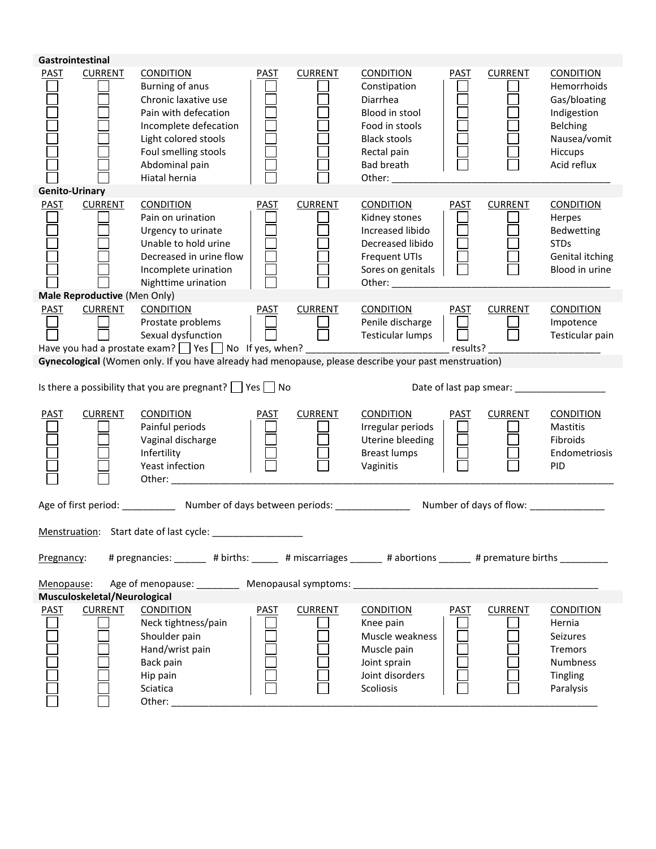|                       | Gastrointestinal             |                                                                                                                                                                                                 |             |                |                                                                                                                                                       |                       |                |                                                                                                                      |
|-----------------------|------------------------------|-------------------------------------------------------------------------------------------------------------------------------------------------------------------------------------------------|-------------|----------------|-------------------------------------------------------------------------------------------------------------------------------------------------------|-----------------------|----------------|----------------------------------------------------------------------------------------------------------------------|
| PAST                  | <b>CURRENT</b>               | <b>CONDITION</b><br>Burning of anus<br>Chronic laxative use<br>Pain with defecation<br>Incomplete defecation<br>Light colored stools<br>Foul smelling stools<br>Abdominal pain<br>Hiatal hernia | <b>PAST</b> | <b>CURRENT</b> | <b>CONDITION</b><br>Constipation<br>Diarrhea<br>Blood in stool<br>Food in stools<br><b>Black stools</b><br>Rectal pain<br>Bad breath<br>Other: $\_\_$ | PAST                  | <b>CURRENT</b> | <b>CONDITION</b><br>Hemorrhoids<br>Gas/bloating<br>Indigestion<br>Belching<br>Nausea/vomit<br>Hiccups<br>Acid reflux |
| <b>Genito-Urinary</b> |                              |                                                                                                                                                                                                 |             |                |                                                                                                                                                       |                       |                |                                                                                                                      |
| <b>PAST</b>           | <b>CURRENT</b>               | <b>CONDITION</b><br>Pain on urination<br>Urgency to urinate<br>Unable to hold urine<br>Decreased in urine flow<br>Incomplete urination<br>Nighttime urination                                   | PAST        | <b>CURRENT</b> | <b>CONDITION</b><br>Kidney stones<br>Increased libido<br>Decreased libido<br><b>Frequent UTIs</b><br>Sores on genitals                                | <b>PAST</b>           | <b>CURRENT</b> | <b>CONDITION</b><br>Herpes<br>Bedwetting<br><b>STDs</b><br>Genital itching<br>Blood in urine                         |
|                       | Male Reproductive (Men Only) |                                                                                                                                                                                                 |             |                |                                                                                                                                                       |                       |                |                                                                                                                      |
| <b>PAST</b>           | <b>CURRENT</b>               | <b>CONDITION</b><br>Prostate problems<br>Sexual dysfunction<br>Have you had a prostate exam? Thes Tho If yes, when? ____________________________ results? ___                                   | <b>PAST</b> | <b>CURRENT</b> | <b>CONDITION</b><br>Penile discharge<br>Testicular lumps                                                                                              | <b>PAST</b><br>$\Box$ | <b>CURRENT</b> | <b>CONDITION</b><br>Impotence<br>Testicular pain                                                                     |
|                       |                              | Gynecological (Women only. If you have already had menopause, please describe your past menstruation)                                                                                           |             |                |                                                                                                                                                       |                       |                |                                                                                                                      |
|                       |                              |                                                                                                                                                                                                 |             |                |                                                                                                                                                       |                       |                |                                                                                                                      |
|                       |                              | Is there a possibility that you are pregnant? $\Box$ Yes $\Box$ No                                                                                                                              |             |                |                                                                                                                                                       |                       |                |                                                                                                                      |
| PAST                  | <b>CURRENT</b>               | <b>CONDITION</b><br>Painful periods<br>Vaginal discharge<br>Infertility<br>Yeast infection                                                                                                      | <b>PAST</b> | <b>CURRENT</b> | <b>CONDITION</b><br>Irregular periods<br>Uterine bleeding<br><b>Breast lumps</b><br>Vaginitis                                                         | <b>PAST</b>           | <b>CURRENT</b> | <b>CONDITION</b><br>Mastitis<br>Fibroids<br>Endometriosis<br><b>PID</b>                                              |
|                       |                              | Age of first period: ______________ Number of days between periods: ____________________ Number of days of flow: _______________                                                                |             |                |                                                                                                                                                       |                       |                |                                                                                                                      |
|                       |                              | Menstruation: Start date of last cycle:                                                                                                                                                         |             |                |                                                                                                                                                       |                       |                |                                                                                                                      |
| Pregnancy:            |                              | # pregnancies: _______ # births: ______ # miscarriages ______ # abortions ______ # premature births ________                                                                                    |             |                |                                                                                                                                                       |                       |                |                                                                                                                      |
| Menopause:            | Musculoskeletal/Neurological | Age of menopause: Menopausal symptoms: Menopausal symptoms:                                                                                                                                     |             |                |                                                                                                                                                       |                       |                |                                                                                                                      |